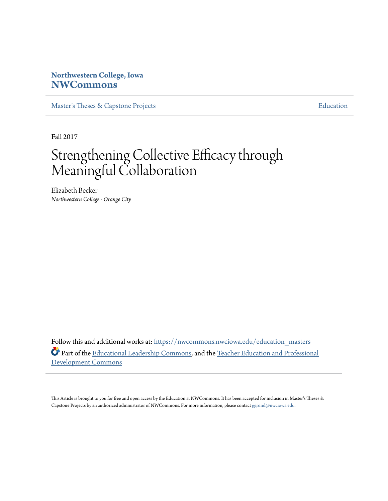# **Northwestern College, Iowa [NWCommons](https://nwcommons.nwciowa.edu?utm_source=nwcommons.nwciowa.edu%2Feducation_masters%2F75&utm_medium=PDF&utm_campaign=PDFCoverPages)**

[Master's Theses & Capstone Projects](https://nwcommons.nwciowa.edu/education_masters?utm_source=nwcommons.nwciowa.edu%2Feducation_masters%2F75&utm_medium=PDF&utm_campaign=PDFCoverPages) **[Education](https://nwcommons.nwciowa.edu/education?utm_source=nwcommons.nwciowa.edu%2Feducation_masters%2F75&utm_medium=PDF&utm_campaign=PDFCoverPages)** 

Fall 2017

# Strengthening Collective Efficacy through Meaningful Collaboration

Elizabeth Becker *Northwestern College - Orange City*

Follow this and additional works at: [https://nwcommons.nwciowa.edu/education\\_masters](https://nwcommons.nwciowa.edu/education_masters?utm_source=nwcommons.nwciowa.edu%2Feducation_masters%2F75&utm_medium=PDF&utm_campaign=PDFCoverPages) Part of the [Educational Leadership Commons](http://network.bepress.com/hgg/discipline/1230?utm_source=nwcommons.nwciowa.edu%2Feducation_masters%2F75&utm_medium=PDF&utm_campaign=PDFCoverPages), and the [Teacher Education and Professional](http://network.bepress.com/hgg/discipline/803?utm_source=nwcommons.nwciowa.edu%2Feducation_masters%2F75&utm_medium=PDF&utm_campaign=PDFCoverPages) [Development Commons](http://network.bepress.com/hgg/discipline/803?utm_source=nwcommons.nwciowa.edu%2Feducation_masters%2F75&utm_medium=PDF&utm_campaign=PDFCoverPages)

This Article is brought to you for free and open access by the Education at NWCommons. It has been accepted for inclusion in Master's Theses & Capstone Projects by an authorized administrator of NWCommons. For more information, please contact [ggrond@nwciowa.edu.](mailto:ggrond@nwciowa.edu)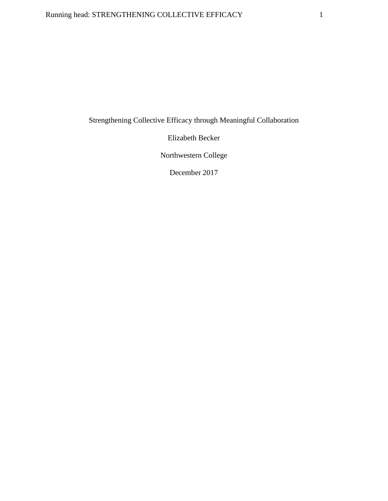# Running head: STRENGTHENING COLLECTIVE EFFICACY 1

Strengthening Collective Efficacy through Meaningful Collaboration

Elizabeth Becker

Northwestern College

December 2017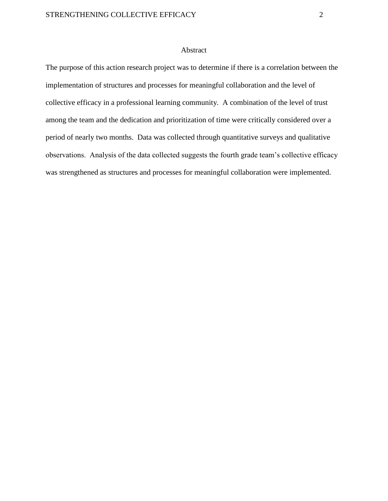#### Abstract

The purpose of this action research project was to determine if there is a correlation between the implementation of structures and processes for meaningful collaboration and the level of collective efficacy in a professional learning community. A combination of the level of trust among the team and the dedication and prioritization of time were critically considered over a period of nearly two months. Data was collected through quantitative surveys and qualitative observations. Analysis of the data collected suggests the fourth grade team's collective efficacy was strengthened as structures and processes for meaningful collaboration were implemented.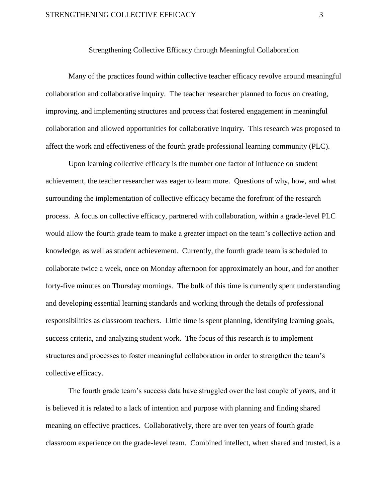#### Strengthening Collective Efficacy through Meaningful Collaboration

Many of the practices found within collective teacher efficacy revolve around meaningful collaboration and collaborative inquiry. The teacher researcher planned to focus on creating, improving, and implementing structures and process that fostered engagement in meaningful collaboration and allowed opportunities for collaborative inquiry. This research was proposed to affect the work and effectiveness of the fourth grade professional learning community (PLC).

Upon learning collective efficacy is the number one factor of influence on student achievement, the teacher researcher was eager to learn more. Questions of why, how, and what surrounding the implementation of collective efficacy became the forefront of the research process. A focus on collective efficacy, partnered with collaboration, within a grade-level PLC would allow the fourth grade team to make a greater impact on the team's collective action and knowledge, as well as student achievement. Currently, the fourth grade team is scheduled to collaborate twice a week, once on Monday afternoon for approximately an hour, and for another forty-five minutes on Thursday mornings. The bulk of this time is currently spent understanding and developing essential learning standards and working through the details of professional responsibilities as classroom teachers. Little time is spent planning, identifying learning goals, success criteria, and analyzing student work. The focus of this research is to implement structures and processes to foster meaningful collaboration in order to strengthen the team's collective efficacy.

The fourth grade team's success data have struggled over the last couple of years, and it is believed it is related to a lack of intention and purpose with planning and finding shared meaning on effective practices. Collaboratively, there are over ten years of fourth grade classroom experience on the grade-level team. Combined intellect, when shared and trusted, is a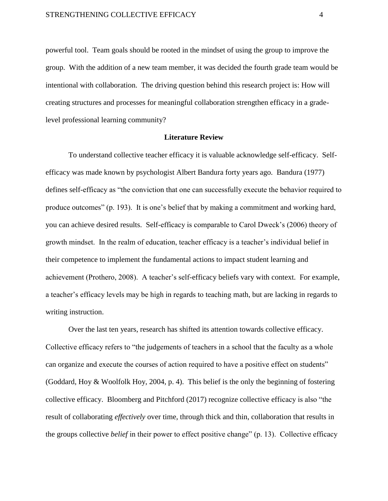powerful tool. Team goals should be rooted in the mindset of using the group to improve the group. With the addition of a new team member, it was decided the fourth grade team would be intentional with collaboration. The driving question behind this research project is: How will creating structures and processes for meaningful collaboration strengthen efficacy in a gradelevel professional learning community?

#### **Literature Review**

To understand collective teacher efficacy it is valuable acknowledge self-efficacy. Selfefficacy was made known by psychologist Albert Bandura forty years ago. Bandura (1977) defines self-efficacy as "the conviction that one can successfully execute the behavior required to produce outcomes" (p. 193). It is one's belief that by making a commitment and working hard, you can achieve desired results. Self-efficacy is comparable to Carol Dweck's (2006) theory of growth mindset. In the realm of education, teacher efficacy is a teacher's individual belief in their competence to implement the fundamental actions to impact student learning and achievement (Prothero, 2008). A teacher's self-efficacy beliefs vary with context. For example, a teacher's efficacy levels may be high in regards to teaching math, but are lacking in regards to writing instruction.

Over the last ten years, research has shifted its attention towards collective efficacy. Collective efficacy refers to "the judgements of teachers in a school that the faculty as a whole can organize and execute the courses of action required to have a positive effect on students" (Goddard, Hoy & Woolfolk Hoy, 2004, p. 4). This belief is the only the beginning of fostering collective efficacy. Bloomberg and Pitchford (2017) recognize collective efficacy is also "the result of collaborating *effectively* over time, through thick and thin, collaboration that results in the groups collective *belief* in their power to effect positive change" (p. 13). Collective efficacy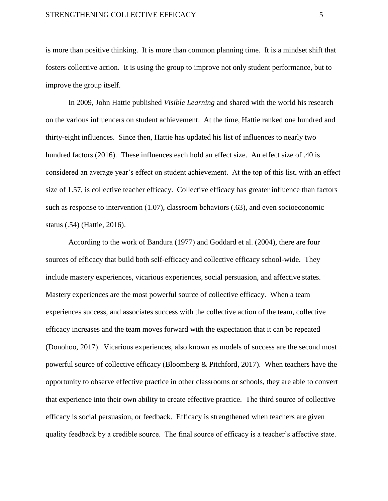is more than positive thinking. It is more than common planning time. It is a mindset shift that fosters collective action. It is using the group to improve not only student performance, but to improve the group itself.

In 2009, John Hattie published *Visible Learning* and shared with the world his research on the various influencers on student achievement. At the time, Hattie ranked one hundred and thirty-eight influences. Since then, Hattie has updated his list of influences to nearly two hundred factors (2016). These influences each hold an effect size. An effect size of .40 is considered an average year's effect on student achievement. At the top of this list, with an effect size of 1.57, is collective teacher efficacy. Collective efficacy has greater influence than factors such as response to intervention (1.07), classroom behaviors (.63), and even socioeconomic status (.54) (Hattie, 2016).

According to the work of Bandura (1977) and Goddard et al. (2004), there are four sources of efficacy that build both self-efficacy and collective efficacy school-wide. They include mastery experiences, vicarious experiences, social persuasion, and affective states. Mastery experiences are the most powerful source of collective efficacy. When a team experiences success, and associates success with the collective action of the team, collective efficacy increases and the team moves forward with the expectation that it can be repeated (Donohoo, 2017). Vicarious experiences, also known as models of success are the second most powerful source of collective efficacy (Bloomberg & Pitchford, 2017). When teachers have the opportunity to observe effective practice in other classrooms or schools, they are able to convert that experience into their own ability to create effective practice. The third source of collective efficacy is social persuasion, or feedback. Efficacy is strengthened when teachers are given quality feedback by a credible source. The final source of efficacy is a teacher's affective state.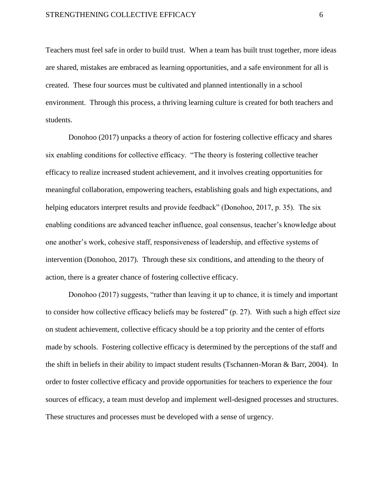Teachers must feel safe in order to build trust. When a team has built trust together, more ideas are shared, mistakes are embraced as learning opportunities, and a safe environment for all is created. These four sources must be cultivated and planned intentionally in a school environment. Through this process, a thriving learning culture is created for both teachers and students.

Donohoo (2017) unpacks a theory of action for fostering collective efficacy and shares six enabling conditions for collective efficacy. "The theory is fostering collective teacher efficacy to realize increased student achievement, and it involves creating opportunities for meaningful collaboration, empowering teachers, establishing goals and high expectations, and helping educators interpret results and provide feedback" (Donohoo, 2017, p. 35). The six enabling conditions are advanced teacher influence, goal consensus, teacher's knowledge about one another's work, cohesive staff, responsiveness of leadership, and effective systems of intervention (Donohoo, 2017). Through these six conditions, and attending to the theory of action, there is a greater chance of fostering collective efficacy.

Donohoo (2017) suggests, "rather than leaving it up to chance, it is timely and important to consider how collective efficacy beliefs may be fostered" (p. 27). With such a high effect size on student achievement, collective efficacy should be a top priority and the center of efforts made by schools. Fostering collective efficacy is determined by the perceptions of the staff and the shift in beliefs in their ability to impact student results (Tschannen-Moran & Barr, 2004). In order to foster collective efficacy and provide opportunities for teachers to experience the four sources of efficacy, a team must develop and implement well-designed processes and structures. These structures and processes must be developed with a sense of urgency.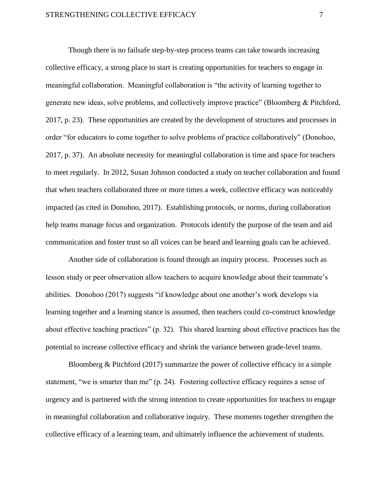Though there is no failsafe step-by-step process teams can take towards increasing collective efficacy, a strong place to start is creating opportunities for teachers to engage in meaningful collaboration. Meaningful collaboration is "the activity of learning together to generate new ideas, solve problems, and collectively improve practice" (Bloomberg & Pitchford, 2017, p. 23). These opportunities are created by the development of structures and processes in order "for educators to come together to solve problems of practice collaboratively" (Donohoo, 2017, p. 37). An absolute necessity for meaningful collaboration is time and space for teachers to meet regularly. In 2012, Susan Johnson conducted a study on teacher collaboration and found that when teachers collaborated three or more times a week, collective efficacy was noticeably impacted (as cited in Donohoo, 2017). Establishing protocols, or norms, during collaboration help teams manage focus and organization. Protocols identify the purpose of the team and aid communication and foster trust so all voices can be heard and learning goals can be achieved.

Another side of collaboration is found through an inquiry process. Processes such as lesson study or peer observation allow teachers to acquire knowledge about their teammate's abilities. Donohoo (2017) suggests "if knowledge about one another's work develops via learning together and a learning stance is assumed, then teachers could co-construct knowledge about effective teaching practices" (p. 32). This shared learning about effective practices has the potential to increase collective efficacy and shrink the variance between grade-level teams.

Bloomberg & Pitchford (2017) summarize the power of collective efficacy in a simple statement, "we is smarter than me" (p. 24). Fostering collective efficacy requires a sense of urgency and is partnered with the strong intention to create opportunities for teachers to engage in meaningful collaboration and collaborative inquiry. These moments together strengthen the collective efficacy of a learning team, and ultimately influence the achievement of students.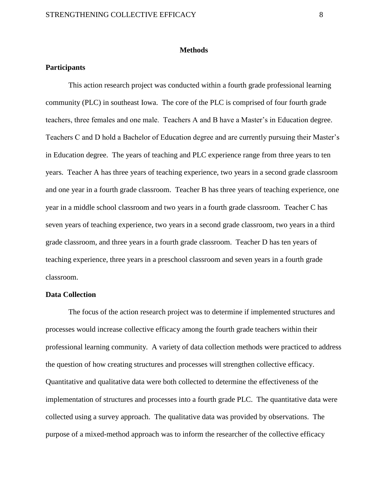#### **Methods**

#### **Participants**

This action research project was conducted within a fourth grade professional learning community (PLC) in southeast Iowa. The core of the PLC is comprised of four fourth grade teachers, three females and one male. Teachers A and B have a Master's in Education degree. Teachers C and D hold a Bachelor of Education degree and are currently pursuing their Master's in Education degree. The years of teaching and PLC experience range from three years to ten years. Teacher A has three years of teaching experience, two years in a second grade classroom and one year in a fourth grade classroom. Teacher B has three years of teaching experience, one year in a middle school classroom and two years in a fourth grade classroom. Teacher C has seven years of teaching experience, two years in a second grade classroom, two years in a third grade classroom, and three years in a fourth grade classroom. Teacher D has ten years of teaching experience, three years in a preschool classroom and seven years in a fourth grade classroom.

#### **Data Collection**

 The focus of the action research project was to determine if implemented structures and processes would increase collective efficacy among the fourth grade teachers within their professional learning community. A variety of data collection methods were practiced to address the question of how creating structures and processes will strengthen collective efficacy. Quantitative and qualitative data were both collected to determine the effectiveness of the implementation of structures and processes into a fourth grade PLC. The quantitative data were collected using a survey approach. The qualitative data was provided by observations. The purpose of a mixed-method approach was to inform the researcher of the collective efficacy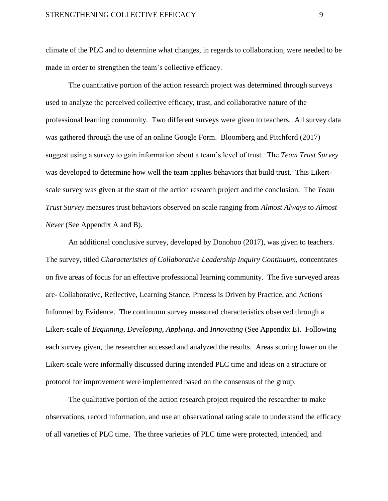climate of the PLC and to determine what changes, in regards to collaboration, were needed to be made in order to strengthen the team's collective efficacy.

The quantitative portion of the action research project was determined through surveys used to analyze the perceived collective efficacy, trust, and collaborative nature of the professional learning community. Two different surveys were given to teachers. All survey data was gathered through the use of an online Google Form. Bloomberg and Pitchford (2017) suggest using a survey to gain information about a team's level of trust. The *Team Trust Survey* was developed to determine how well the team applies behaviors that build trust. This Likertscale survey was given at the start of the action research project and the conclusion. The *Team Trust Survey* measures trust behaviors observed on scale ranging from *Almost Always* to *Almost Never* (See Appendix A and B).

An additional conclusive survey, developed by Donohoo (2017), was given to teachers. The survey, titled *Characteristics of Collaborative Leadership Inquiry Continuum*, concentrates on five areas of focus for an effective professional learning community. The five surveyed areas are- Collaborative, Reflective, Learning Stance, Process is Driven by Practice, and Actions Informed by Evidence. The continuum survey measured characteristics observed through a Likert-scale of *Beginning*, *Developing*, *Applying*, and *Innovating* (See Appendix E). Following each survey given, the researcher accessed and analyzed the results. Areas scoring lower on the Likert-scale were informally discussed during intended PLC time and ideas on a structure or protocol for improvement were implemented based on the consensus of the group.

The qualitative portion of the action research project required the researcher to make observations, record information, and use an observational rating scale to understand the efficacy of all varieties of PLC time. The three varieties of PLC time were protected, intended, and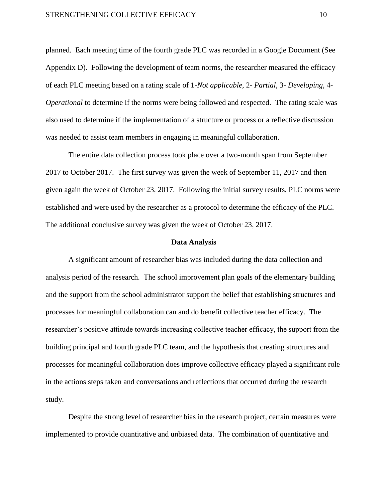#### STRENGTHENING COLLECTIVE EFFICACY 10

planned. Each meeting time of the fourth grade PLC was recorded in a Google Document (See Appendix D). Following the development of team norms, the researcher measured the efficacy of each PLC meeting based on a rating scale of 1-*Not applicable*, 2- *Partial*, 3- *Developing*, 4- *Operational* to determine if the norms were being followed and respected. The rating scale was also used to determine if the implementation of a structure or process or a reflective discussion was needed to assist team members in engaging in meaningful collaboration.

The entire data collection process took place over a two-month span from September 2017 to October 2017. The first survey was given the week of September 11, 2017 and then given again the week of October 23, 2017. Following the initial survey results, PLC norms were established and were used by the researcher as a protocol to determine the efficacy of the PLC. The additional conclusive survey was given the week of October 23, 2017.

#### **Data Analysis**

A significant amount of researcher bias was included during the data collection and analysis period of the research. The school improvement plan goals of the elementary building and the support from the school administrator support the belief that establishing structures and processes for meaningful collaboration can and do benefit collective teacher efficacy. The researcher's positive attitude towards increasing collective teacher efficacy, the support from the building principal and fourth grade PLC team, and the hypothesis that creating structures and processes for meaningful collaboration does improve collective efficacy played a significant role in the actions steps taken and conversations and reflections that occurred during the research study.

Despite the strong level of researcher bias in the research project, certain measures were implemented to provide quantitative and unbiased data. The combination of quantitative and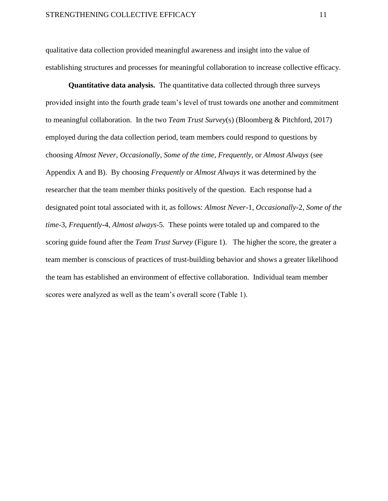qualitative data collection provided meaningful awareness and insight into the value of establishing structures and processes for meaningful collaboration to increase collective efficacy.

**Quantitative data analysis.** The quantitative data collected through three surveys provided insight into the fourth grade team's level of trust towards one another and commitment to meaningful collaboration. In the two *Team Trust Survey*(s) (Bloomberg & Pitchford, 2017) employed during the data collection period, team members could respond to questions by choosing *Almost Never*, *Occasionally*, *Some of the time*, *Frequently*, or *Almost Always* (see Appendix A and B). By choosing *Frequently* or *Almost Always* it was determined by the researcher that the team member thinks positively of the question. Each response had a designated point total associated with it, as follows: *Almost Never*-1, *Occasionally*-2, *Some of the time*-3, *Frequently*-4, *Almost always*-5. These points were totaled up and compared to the scoring guide found after the *Team Trust Survey* (Figure 1). The higher the score, the greater a team member is conscious of practices of trust-building behavior and shows a greater likelihood the team has established an environment of effective collaboration. Individual team member scores were analyzed as well as the team's overall score (Table 1).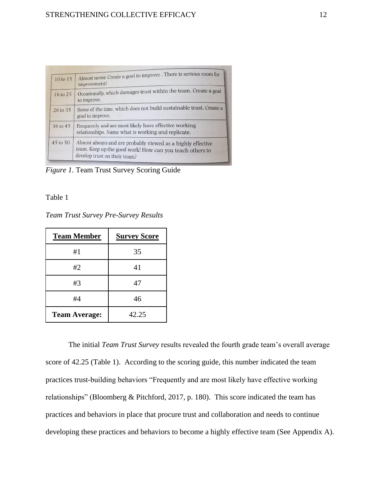| 10 to 15     | Almost never. Create a goal to improve . There is serious room for<br>improvement!                                                                      |  |
|--------------|---------------------------------------------------------------------------------------------------------------------------------------------------------|--|
| 16 to 25     | Occasionally, which damages trust within the team. Create a goal<br>to improve.                                                                         |  |
| 26 to 35     | Some of the time, which does not build sustainable trust. Create a<br>goal to improve.                                                                  |  |
| 36 to 45     | Frequently and are most likely have effective working<br>relationships. Name what is working and replicate.                                             |  |
| $45$ to $50$ | Almost always and are probably viewed as a highly effective<br>team. Keep up the good work! How can you teach others to<br>develop trust on their team? |  |

*Figure 1.* Team Trust Survey Scoring Guide

Table 1

*Team Trust Survey Pre-Survey Results*

| <b>Team Member</b>   | <b>Survey Score</b> |  |
|----------------------|---------------------|--|
| #1                   | 35                  |  |
| #2                   | 41                  |  |
| #3                   | 47                  |  |
| #4                   | 46                  |  |
| <b>Team Average:</b> | 42.25               |  |

The initial *Team Trust Survey* results revealed the fourth grade team's overall average score of 42.25 (Table 1). According to the scoring guide, this number indicated the team practices trust-building behaviors "Frequently and are most likely have effective working relationships" (Bloomberg & Pitchford, 2017, p. 180). This score indicated the team has practices and behaviors in place that procure trust and collaboration and needs to continue developing these practices and behaviors to become a highly effective team (See Appendix A).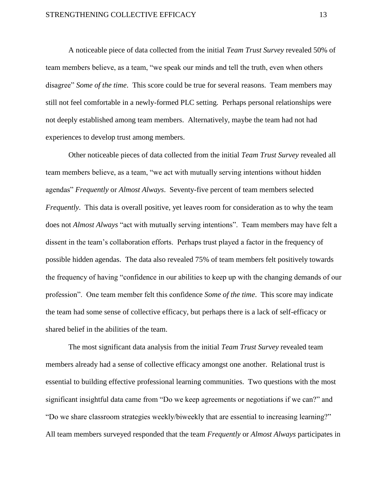A noticeable piece of data collected from the initial *Team Trust Survey* revealed 50% of team members believe, as a team, "we speak our minds and tell the truth, even when others disagree" *Some of the time*. This score could be true for several reasons. Team members may still not feel comfortable in a newly-formed PLC setting. Perhaps personal relationships were not deeply established among team members. Alternatively, maybe the team had not had experiences to develop trust among members.

Other noticeable pieces of data collected from the initial *Team Trust Survey* revealed all team members believe, as a team, "we act with mutually serving intentions without hidden agendas" *Frequently* or *Almost Always*. Seventy-five percent of team members selected *Frequently*. This data is overall positive, yet leaves room for consideration as to why the team does not *Almost Always* "act with mutually serving intentions". Team members may have felt a dissent in the team's collaboration efforts. Perhaps trust played a factor in the frequency of possible hidden agendas. The data also revealed 75% of team members felt positively towards the frequency of having "confidence in our abilities to keep up with the changing demands of our profession". One team member felt this confidence *Some of the time*. This score may indicate the team had some sense of collective efficacy, but perhaps there is a lack of self-efficacy or shared belief in the abilities of the team.

The most significant data analysis from the initial *Team Trust Survey* revealed team members already had a sense of collective efficacy amongst one another. Relational trust is essential to building effective professional learning communities. Two questions with the most significant insightful data came from "Do we keep agreements or negotiations if we can?" and "Do we share classroom strategies weekly/biweekly that are essential to increasing learning?" All team members surveyed responded that the team *Frequently* or *Almost Always* participates in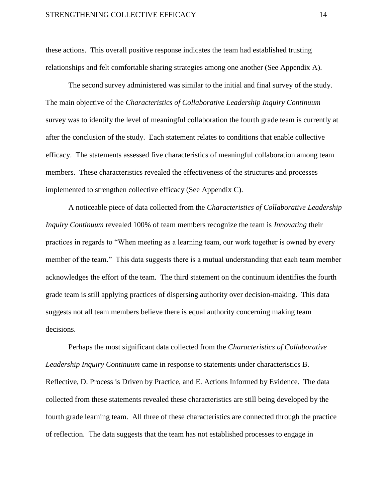these actions. This overall positive response indicates the team had established trusting relationships and felt comfortable sharing strategies among one another (See Appendix A).

The second survey administered was similar to the initial and final survey of the study. The main objective of the *Characteristics of Collaborative Leadership Inquiry Continuum* survey was to identify the level of meaningful collaboration the fourth grade team is currently at after the conclusion of the study. Each statement relates to conditions that enable collective efficacy. The statements assessed five characteristics of meaningful collaboration among team members. These characteristics revealed the effectiveness of the structures and processes implemented to strengthen collective efficacy (See Appendix C).

A noticeable piece of data collected from the *Characteristics of Collaborative Leadership Inquiry Continuum* revealed 100% of team members recognize the team is *Innovating* their practices in regards to "When meeting as a learning team, our work together is owned by every member of the team." This data suggests there is a mutual understanding that each team member acknowledges the effort of the team. The third statement on the continuum identifies the fourth grade team is still applying practices of dispersing authority over decision-making. This data suggests not all team members believe there is equal authority concerning making team decisions.

Perhaps the most significant data collected from the *Characteristics of Collaborative Leadership Inquiry Continuum* came in response to statements under characteristics B. Reflective, D. Process is Driven by Practice, and E. Actions Informed by Evidence. The data collected from these statements revealed these characteristics are still being developed by the fourth grade learning team. All three of these characteristics are connected through the practice of reflection. The data suggests that the team has not established processes to engage in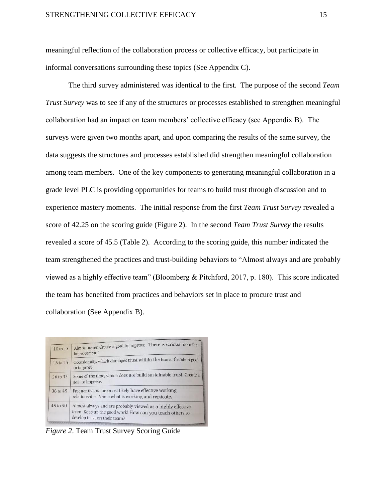meaningful reflection of the collaboration process or collective efficacy, but participate in informal conversations surrounding these topics (See Appendix C).

The third survey administered was identical to the first. The purpose of the second *Team Trust Survey* was to see if any of the structures or processes established to strengthen meaningful collaboration had an impact on team members' collective efficacy (see Appendix B). The surveys were given two months apart, and upon comparing the results of the same survey, the data suggests the structures and processes established did strengthen meaningful collaboration among team members. One of the key components to generating meaningful collaboration in a grade level PLC is providing opportunities for teams to build trust through discussion and to experience mastery moments. The initial response from the first *Team Trust Survey* revealed a score of 42.25 on the scoring guide (Figure 2). In the second *Team Trust Survey* the results revealed a score of 45.5 (Table 2). According to the scoring guide, this number indicated the team strengthened the practices and trust-building behaviors to "Almost always and are probably viewed as a highly effective team" (Bloomberg & Pitchford, 2017, p. 180). This score indicated the team has benefited from practices and behaviors set in place to procure trust and collaboration (See Appendix B).

|                     | Almost never. Create a goal to improve . There is serious room for                                                                                      |  |
|---------------------|---------------------------------------------------------------------------------------------------------------------------------------------------------|--|
| 10 to 15            | improvement!                                                                                                                                            |  |
| 16 to 25            | Occasionally, which damages trust within the team. Create a goal<br>to improve.                                                                         |  |
| 26 to 35            | Some of the time, which does not build sustainable trust. Create a<br>goal to improve.                                                                  |  |
| 36 to 45            | Frequently and are most likely have effective working<br>relationships. Name what is working and replicate.                                             |  |
| $45 \text{ to } 50$ | Almost always and are probably viewed as a highly effective<br>team. Keep up the good work! How can you teach others to<br>develop trust on their team? |  |

*Figure 2*. Team Trust Survey Scoring Guide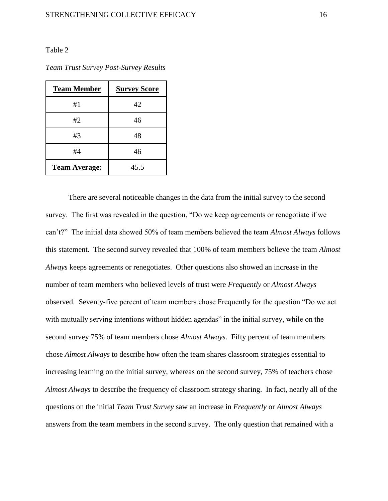#### Table 2

*Team Trust Survey Post-Survey Results*

| <b>Team Member</b>   | <b>Survey Score</b> |  |
|----------------------|---------------------|--|
| #1                   | 42                  |  |
| #2                   | 46                  |  |
| #3                   | 48                  |  |
| #4                   | 46                  |  |
| <b>Team Average:</b> | 45.5                |  |

There are several noticeable changes in the data from the initial survey to the second survey. The first was revealed in the question, "Do we keep agreements or renegotiate if we can't?" The initial data showed 50% of team members believed the team *Almost Always* follows this statement. The second survey revealed that 100% of team members believe the team *Almost Always* keeps agreements or renegotiates. Other questions also showed an increase in the number of team members who believed levels of trust were *Frequently* or *Almost Always* observed. Seventy-five percent of team members chose Frequently for the question "Do we act with mutually serving intentions without hidden agendas" in the initial survey, while on the second survey 75% of team members chose *Almost Always*. Fifty percent of team members chose *Almost Always* to describe how often the team shares classroom strategies essential to increasing learning on the initial survey, whereas on the second survey, 75% of teachers chose *Almost Always* to describe the frequency of classroom strategy sharing. In fact, nearly all of the questions on the initial *Team Trust Survey* saw an increase in *Frequently* or *Almost Always* answers from the team members in the second survey. The only question that remained with a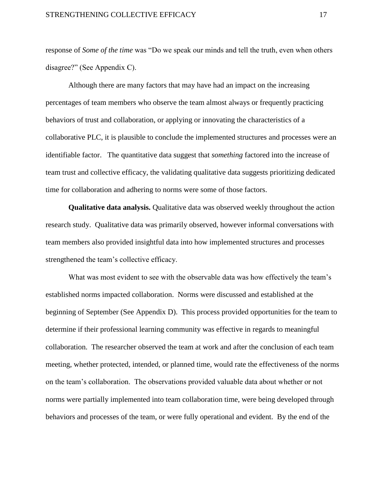response of *Some of the time* was "Do we speak our minds and tell the truth, even when others disagree?" (See Appendix C).

Although there are many factors that may have had an impact on the increasing percentages of team members who observe the team almost always or frequently practicing behaviors of trust and collaboration, or applying or innovating the characteristics of a collaborative PLC, it is plausible to conclude the implemented structures and processes were an identifiable factor. The quantitative data suggest that *something* factored into the increase of team trust and collective efficacy, the validating qualitative data suggests prioritizing dedicated time for collaboration and adhering to norms were some of those factors.

**Qualitative data analysis.** Qualitative data was observed weekly throughout the action research study. Qualitative data was primarily observed, however informal conversations with team members also provided insightful data into how implemented structures and processes strengthened the team's collective efficacy.

What was most evident to see with the observable data was how effectively the team's established norms impacted collaboration. Norms were discussed and established at the beginning of September (See Appendix D). This process provided opportunities for the team to determine if their professional learning community was effective in regards to meaningful collaboration. The researcher observed the team at work and after the conclusion of each team meeting, whether protected, intended, or planned time, would rate the effectiveness of the norms on the team's collaboration. The observations provided valuable data about whether or not norms were partially implemented into team collaboration time, were being developed through behaviors and processes of the team, or were fully operational and evident. By the end of the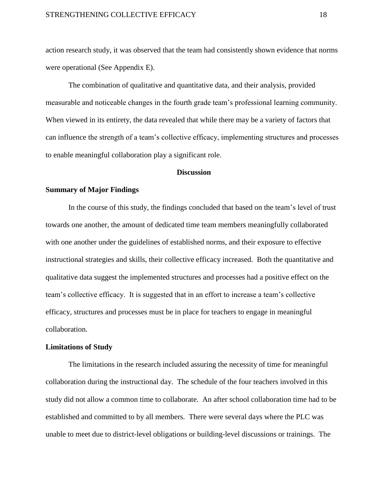action research study, it was observed that the team had consistently shown evidence that norms were operational (See Appendix E).

The combination of qualitative and quantitative data, and their analysis, provided measurable and noticeable changes in the fourth grade team's professional learning community. When viewed in its entirety, the data revealed that while there may be a variety of factors that can influence the strength of a team's collective efficacy, implementing structures and processes to enable meaningful collaboration play a significant role.

#### **Discussion**

#### **Summary of Major Findings**

In the course of this study, the findings concluded that based on the team's level of trust towards one another, the amount of dedicated time team members meaningfully collaborated with one another under the guidelines of established norms, and their exposure to effective instructional strategies and skills, their collective efficacy increased. Both the quantitative and qualitative data suggest the implemented structures and processes had a positive effect on the team's collective efficacy. It is suggested that in an effort to increase a team's collective efficacy, structures and processes must be in place for teachers to engage in meaningful collaboration.

#### **Limitations of Study**

The limitations in the research included assuring the necessity of time for meaningful collaboration during the instructional day. The schedule of the four teachers involved in this study did not allow a common time to collaborate. An after school collaboration time had to be established and committed to by all members. There were several days where the PLC was unable to meet due to district-level obligations or building-level discussions or trainings. The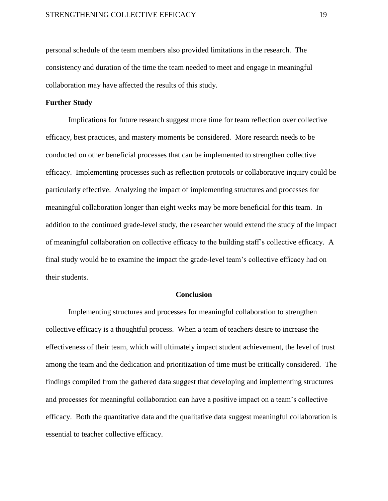personal schedule of the team members also provided limitations in the research. The consistency and duration of the time the team needed to meet and engage in meaningful collaboration may have affected the results of this study.

#### **Further Study**

Implications for future research suggest more time for team reflection over collective efficacy, best practices, and mastery moments be considered. More research needs to be conducted on other beneficial processes that can be implemented to strengthen collective efficacy. Implementing processes such as reflection protocols or collaborative inquiry could be particularly effective. Analyzing the impact of implementing structures and processes for meaningful collaboration longer than eight weeks may be more beneficial for this team. In addition to the continued grade-level study, the researcher would extend the study of the impact of meaningful collaboration on collective efficacy to the building staff's collective efficacy. A final study would be to examine the impact the grade-level team's collective efficacy had on their students.

#### **Conclusion**

Implementing structures and processes for meaningful collaboration to strengthen collective efficacy is a thoughtful process. When a team of teachers desire to increase the effectiveness of their team, which will ultimately impact student achievement, the level of trust among the team and the dedication and prioritization of time must be critically considered. The findings compiled from the gathered data suggest that developing and implementing structures and processes for meaningful collaboration can have a positive impact on a team's collective efficacy. Both the quantitative data and the qualitative data suggest meaningful collaboration is essential to teacher collective efficacy.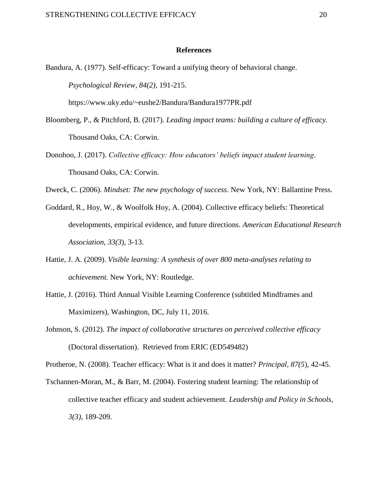#### **References**

Bandura, A. (1977). Self-efficacy: Toward a unifying theory of behavioral change. *Psychological Review, 84(2)*, 191-215.

https://www.uky.edu/~eushe2/Bandura/Bandura1977PR.pdf

- Bloomberg, P., & Pitchford, B. (2017). *Leading impact teams: building a culture of efficacy.* Thousand Oaks, CA: Corwin.
- Donohoo, J. (2017). *Collective efficacy: How educators' beliefs impact student learning*. Thousand Oaks, CA: Corwin.

Dweck, C. (2006). *Mindset: The new psychology of success*. New York, NY: Ballantine Press.

- Goddard, R., Hoy, W., & Woolfolk Hoy, A. (2004). Collective efficacy beliefs: Theoretical developments, empirical evidence, and future directions. *American Educational Research Association, 33(3*), 3-13.
- Hattie, J. A. (2009). *Visible learning: A synthesis of over 800 meta-analyses relating to achievement.* New York, NY: Routledge.
- Hattie, J. (2016). Third Annual Visible Learning Conference (subtitled Mindframes and Maximizers), Washington, DC, July 11, 2016.
- Johnson, S. (2012). *The impact of collaborative structures on perceived collective efficacy* (Doctoral dissertation). Retrieved from ERIC (ED549482)

Protheroe, N. (2008). Teacher efficacy: What is it and does it matter? *Principal, 87(5*), 42-45.

Tschannen-Moran, M., & Barr, M. (2004). Fostering student learning: The relationship of collective teacher efficacy and student achievement. *Leadership and Policy in Schools, 3(3),* 189-209.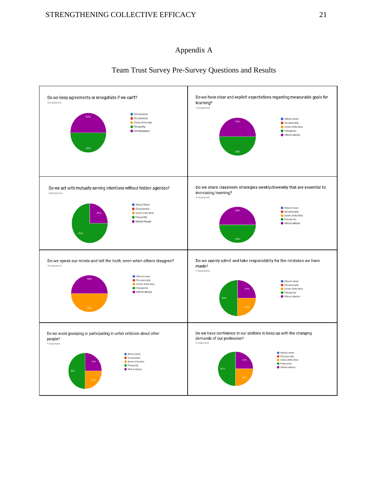Do we avoid gossiping or participating in unfair criticism about other

Almost never C Occasionally Some of the time ● Frequently<br>● Almost always

people?



## Team Trust Survey Pre-Survey Questions and Results



Almost always

● Almost never<br>● Occasionally<br>● Some of the time<br>● Frequently<br>● Almost always

Do we have confidence in our abilities to keep up with the changing

demands of our profession?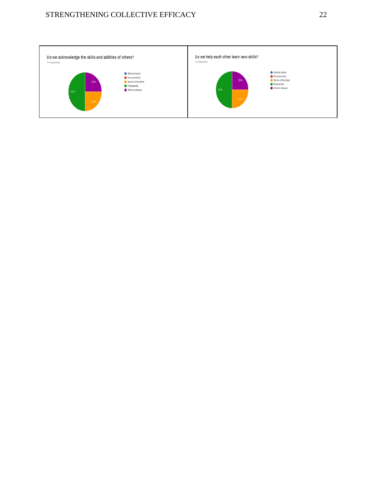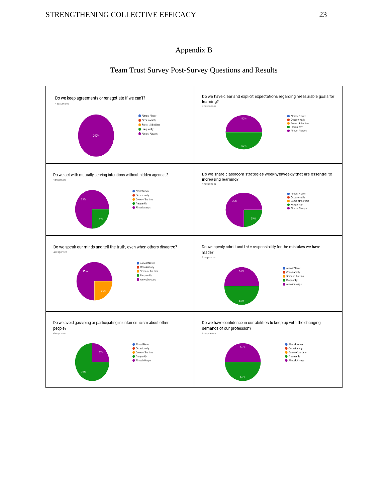### Appendix B



## Team Trust Survey Post-Survey Questions and Results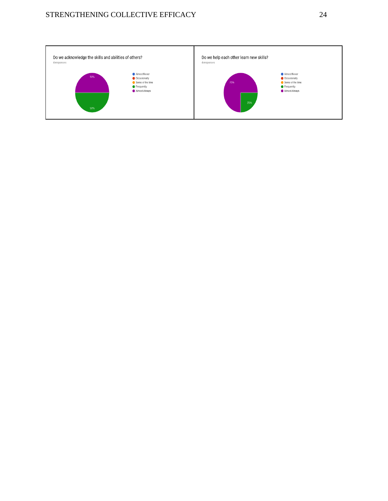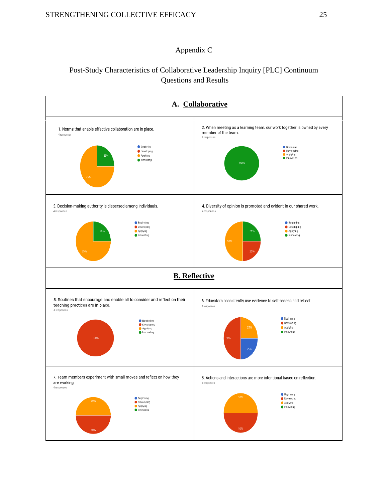## Appendix C

# Post-Study Characteristics of Collaborative Leadership Inquiry [PLC] Continuum Questions and Results

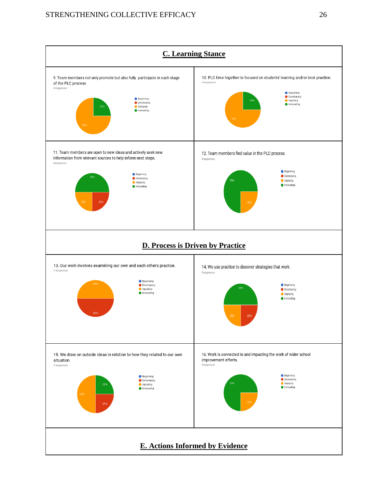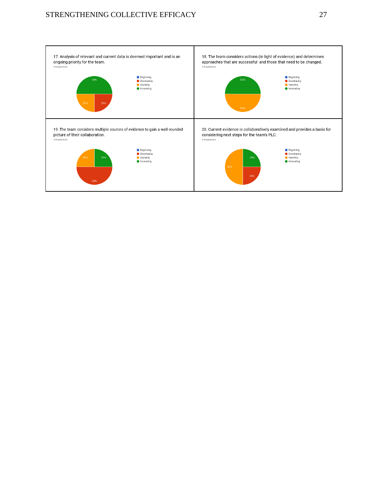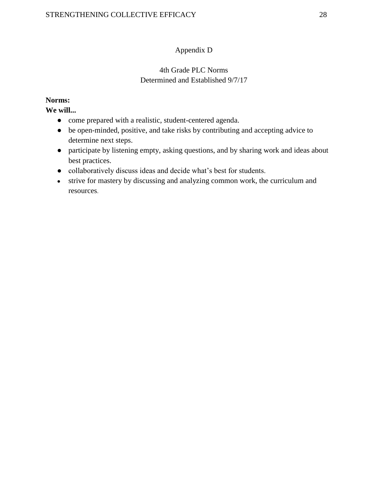## Appendix D

## 4th Grade PLC Norms Determined and Established 9/7/17

## **Norms:**

**We will...**

- come prepared with a realistic, student-centered agenda.
- be open-minded, positive, and take risks by contributing and accepting advice to determine next steps.
- participate by listening empty, asking questions, and by sharing work and ideas about best practices.
- collaboratively discuss ideas and decide what's best for students.
- strive for mastery by discussing and analyzing common work, the curriculum and resources.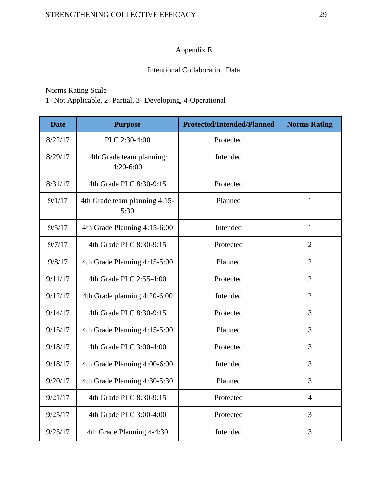# Appendix E

## Intentional Collaboration Data

# Norms Rating Scale

1- Not Applicable, 2- Partial, 3- Developing, 4-Operational

| <b>Date</b> | <b>Purpose</b>                          | <b>Protected/Intended/Planned</b> | <b>Norms Rating</b> |
|-------------|-----------------------------------------|-----------------------------------|---------------------|
| 8/22/17     | PLC 2:30-4:00                           | Protected                         | $\mathbf{1}$        |
| 8/29/17     | 4th Grade team planning:<br>$4:20-6:00$ | Intended                          | 1                   |
| 8/31/17     | 4th Grade PLC 8:30-9:15                 | Protected                         | $\mathbf{1}$        |
| 9/1/17      | 4th Grade team planning 4:15-<br>5:30   | Planned                           | 1                   |
| 9/5/17      | 4th Grade Planning 4:15-6:00            | Intended                          | $\mathbf{1}$        |
| 9/7/17      | 4th Grade PLC 8:30-9:15                 | Protected                         | $\overline{2}$      |
| 9/8/17      | 4th Grade Planning 4:15-5:00            | Planned                           | $\overline{2}$      |
| 9/11/17     | 4th Grade PLC 2:55-4:00                 | Protected                         | $\overline{2}$      |
| 9/12/17     | 4th Grade planning 4:20-6:00            | Intended                          | $\overline{2}$      |
| 9/14/17     | 4th Grade PLC 8:30-9:15                 | Protected                         | 3                   |
| 9/15/17     | 4th Grade Planning 4:15-5:00            | Planned                           | 3                   |
| 9/18/17     | 4th Grade PLC 3:00-4:00                 | Protected                         | 3                   |
| 9/18/17     | 4th Grade Planning 4:00-6:00            | Intended                          | 3                   |
| 9/20/17     | 4th Grade Planning 4:30-5:30            | Planned                           | $\overline{3}$      |
| 9/21/17     | 4th Grade PLC 8:30-9:15                 | Protected                         | $\overline{4}$      |
| 9/25/17     | 4th Grade PLC 3:00-4:00                 | Protected                         | $\overline{3}$      |
| 9/25/17     | 4th Grade Planning 4-4:30               | Intended                          | 3                   |